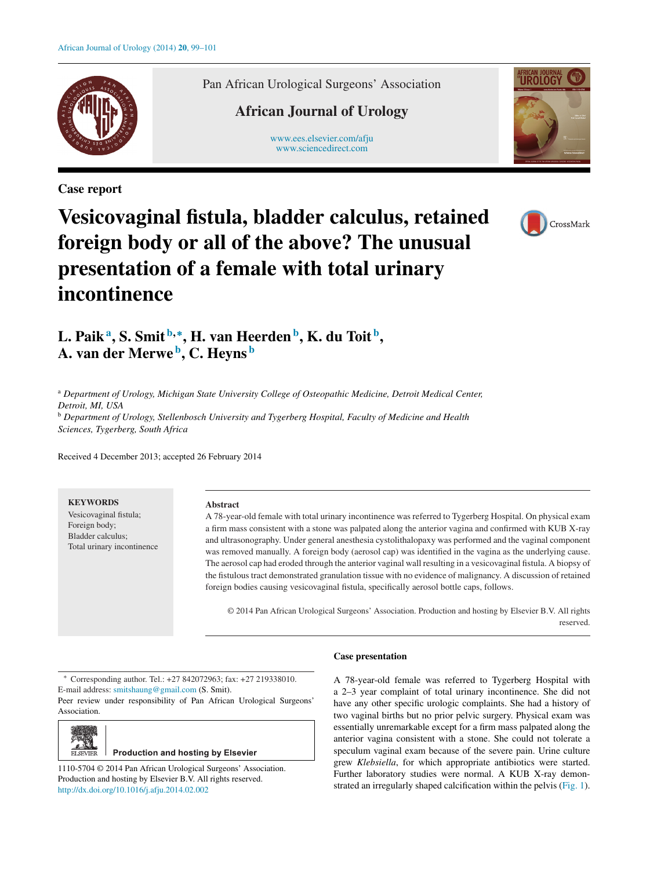

**Case report**

Pan African Urological Surgeons' Association

# **African Journal of Urology**

[www.ees.elsevier.com/afju](http://www.ees.elsevier.com/afju) [www.sciencedirect.com](http://www.sciencedirect.com/science/journal/11105704)



# **Vesicovaginal fistula, bladder calculus, retained foreign body or all of the above? The unusual presentation of a female with total urinary incontinence**



# **L. Paika, S. Smit <sup>b</sup>***,***∗, H. van Heerdenb, K. du Toit <sup>b</sup> , A. van der Merwe b, C. Heyns <sup>b</sup>**

<sup>a</sup> *Department of Urology, Michigan State University College of Osteopathic Medicine, Detroit Medical Center, Detroit, MI, USA* <sup>b</sup> *Department of Urology, Stellenbosch University and Tygerberg Hospital, Faculty of Medicine and Health*

*Sciences, Tygerberg, South Africa*

Received 4 December 2013; accepted 26 February 2014

# **KEYWORDS**

Vesicovaginal fistula; Foreign body; Bladder calculus; Total urinary incontinence

#### **Abstract**

A 78-year-old female with total urinary incontinence was referred to Tygerberg Hospital. On physical exam a firm mass consistent with a stone was palpated along the anterior vagina and confirmed with KUB X-ray and ultrasonography. Under general anesthesia cystolithalopaxy was performed and the vaginal component was removed manually. A foreign body (aerosol cap) was identified in the vagina as the underlying cause. The aerosol cap had eroded through the anterior vaginal wall resulting in a vesicovaginal fistula. A biopsy of the fistulous tract demonstrated granulation tissue with no evidence of malignancy. A discussion of retained foreign bodies causing vesicovaginal fistula, specifically aerosol bottle caps, follows.

© 2014 Pan African Urological Surgeons' Association. Production and hosting by Elsevier B.V. All rights reserved.

∗ Corresponding author. Tel.: +27 842072963; fax: +27 219338010. E-mail address: [smitshaung@gmail.com](mailto:smitshaung@gmail.com) (S. Smit).

Peer review under responsibility of Pan African Urological Surgeons' Association.



**Production and hosting by Elsevier** 

1110-5704 © 2014 Pan African Urological Surgeons' Association. Production and hosting by Elsevier B.V. All rights reserved. [http://dx.doi.org/10.1016/j.afju.2014.02.002](dx.doi.org/10.1016/j.afju.2014.02.002)

### **Case presentation**

A 78-year-old female was referred to Tygerberg Hospital with a 2–3 year complaint of total urinary incontinence. She did not have any other specific urologic complaints. She had a history of two vaginal births but no prior pelvic surgery. Physical exam was essentially unremarkable except for a firm mass palpated along the anterior vagina consistent with a stone. She could not tolerate a speculum vaginal exam because of the severe pain. Urine culture grew *Klebsiella*, for which appropriate antibiotics were started. Further laboratory studies were normal. A KUB X-ray demonstrated an irregularly shaped calcification within the pelvis ([Fig. 1\).](#page-1-0)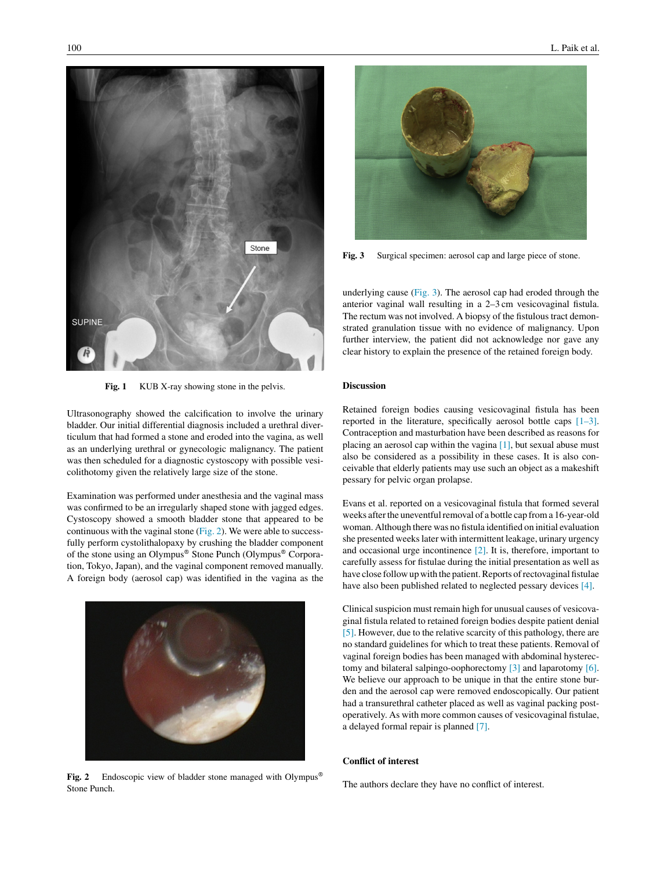<span id="page-1-0"></span>

Fig. 1 KUB X-ray showing stone in the pelvis.

Ultrasonography showed the calcification to involve the urinary bladder. Our initial differential diagnosis included a urethral diverticulum that had formed a stone and eroded into the vagina, as well as an underlying urethral or gynecologic malignancy. The patient was then scheduled for a diagnostic cystoscopy with possible vesicolithotomy given the relatively large size of the stone.

Examination was performed under anesthesia and the vaginal mass was confirmed to be an irregularly shaped stone with jagged edges. Cystoscopy showed a smooth bladder stone that appeared to be continuous with the vaginal stone (Fig. 2). We were able to successfully perform cystolithalopaxy by crushing the bladder component of the stone using an Olympus® Stone Punch (Olympus® Corporation, Tokyo, Japan), and the vaginal component removed manually. A foreign body (aerosol cap) was identified in the vagina as the



Fig. 2 Endoscopic view of bladder stone managed with Olympus<sup>®</sup> Stone Punch.



**Fig. 3** Surgical specimen: aerosol cap and large piece of stone.

underlying cause (Fig. 3). The aerosol cap had eroded through the anterior vaginal wall resulting in a 2–3 cm vesicovaginal fistula. The rectum was not involved. A biopsy of the fistulous tract demonstrated granulation tissue with no evidence of malignancy. Upon further interview, the patient did not acknowledge nor gave any clear history to explain the presence of the retained foreign body.

## **Discussion**

Retained foreign bodies causing vesicovaginal fistula has been reported in the literature, specifically aerosol bottle caps [\[1–3\].](#page-2-0) Contraception and masturbation have been described as reasons for placing an aerosol cap within the vagina  $[1]$ , but sexual abuse must also be considered as a possibility in these cases. It is also conceivable that elderly patients may use such an object as a makeshift pessary for pelvic organ prolapse.

Evans et al. reported on a vesicovaginal fistula that formed several weeks after the uneventful removal of a bottle cap from a 16-year-old woman. Although there was no fistula identified on initial evaluation she presented weeks later with intermittent leakage, urinary urgency and occasional urge incontinence [\[2\].](#page-2-0) It is, therefore, important to carefully assess for fistulae during the initial presentation as well as have close follow up with the patient. Reports of rectovaginal fistulae have also been published related to neglected pessary devices [\[4\].](#page-2-0)

Clinical suspicion must remain high for unusual causes of vesicovaginal fistula related to retained foreign bodies despite patient denial [\[5\]. H](#page-2-0)owever, due to the relative scarcity of this pathology, there are no standard guidelines for which to treat these patients. Removal of vaginal foreign bodies has been managed with abdominal hysterectomy and bilateral salpingo-oophorectomy [\[3\]](#page-2-0) and laparotomy [\[6\].](#page-2-0) We believe our approach to be unique in that the entire stone burden and the aerosol cap were removed endoscopically. Our patient had a transurethral catheter placed as well as vaginal packing postoperatively. As with more common causes of vesicovaginal fistulae, a delayed formal repair is planned [\[7\].](#page-2-0)

# **Conflict of interest**

The authors declare they have no conflict of interest.